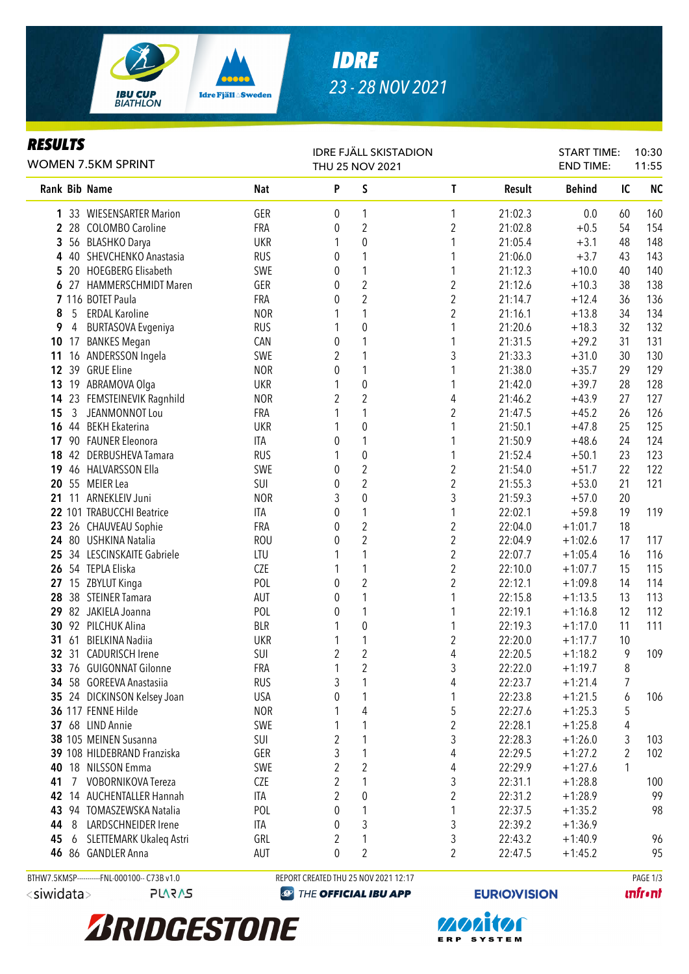

## *IDRE 23 - 28 NOV 2021*

### *RESULTS*

| <b>WOMEN 7.5KM SPRINT</b>                        | <b>IDRE FJÄLL SKISTADION</b><br>THU 25 NOV 2021 |                |                                      |                         |               | <b>START TIME:</b><br><b>END TIME:</b> |        | 10:30<br>11:55               |  |
|--------------------------------------------------|-------------------------------------------------|----------------|--------------------------------------|-------------------------|---------------|----------------------------------------|--------|------------------------------|--|
| Rank Bib Name                                    | <b>Nat</b>                                      | P              | S                                    | T                       | <b>Result</b> | <b>Behind</b>                          | IC     | <b>NC</b>                    |  |
| 1 33 WIESENSARTER Marion                         | GER                                             | 0              | 1                                    | 1                       | 21:02.3       | 0.0                                    | 60     | 160                          |  |
| 2 28 COLOMBO Caroline                            | <b>FRA</b>                                      | 0              | $\overline{2}$                       | $\overline{2}$          | 21:02.8       | $+0.5$                                 | 54     | 154                          |  |
| 3<br>56 BLASHKO Darya                            | <b>UKR</b>                                      | 1              | $\pmb{0}$                            | 1                       | 21:05.4       | $+3.1$                                 | 48     | 148                          |  |
| 40 SHEVCHENKO Anastasia<br>4                     | <b>RUS</b>                                      | 0              | 1                                    | 1                       | 21:06.0       | $+3.7$                                 | 43     | 143                          |  |
| 20 HOEGBERG Elisabeth<br>5.                      | SWE                                             | 0              | 1                                    | 1                       | 21:12.3       | $+10.0$                                | 40     | 140                          |  |
| 6 27 HAMMERSCHMIDT Maren                         | GER                                             | 0              | $\overline{2}$                       | $\overline{c}$          | 21:12.6       | $+10.3$                                | 38     | 138                          |  |
| 7 116 BOTET Paula                                | FRA                                             | 0              | $\overline{2}$                       | $\overline{c}$          | 21:14.7       | $+12.4$                                | 36     | 136                          |  |
| 5<br>8<br><b>ERDAL Karoline</b>                  | <b>NOR</b>                                      |                | 1                                    | $\overline{c}$          | 21:16.1       | $+13.8$                                | 34     | 134                          |  |
| <b>BURTASOVA Evgeniya</b><br>9<br>$\overline{4}$ | <b>RUS</b>                                      |                | $\pmb{0}$                            | 1                       | 21:20.6       | $+18.3$                                | 32     | 132                          |  |
| 17 BANKES Megan<br>10 <sup>°</sup>               | CAN                                             | 0              | $\mathbf{1}$                         | 1                       | 21:31.5       | $+29.2$                                | 31     | 131                          |  |
| 16 ANDERSSON Ingela<br>11                        | SWE                                             | $\overline{2}$ | 1                                    | 3                       | 21:33.3       | $+31.0$                                | 30     | 130                          |  |
| 12<br>39 GRUE Eline                              | <b>NOR</b>                                      | 0              | 1                                    | 1                       | 21:38.0       | $+35.7$                                | 29     | 129                          |  |
| 13<br>19 ABRAMOVA Olga                           | <b>UKR</b>                                      |                | $\mathbf 0$                          | 1                       | 21:42.0       | $+39.7$                                | 28     | 128                          |  |
| 23 FEMSTEINEVIK Ragnhild<br>14                   | <b>NOR</b>                                      | $\overline{2}$ | $\overline{2}$                       | 4                       | 21:46.2       | $+43.9$                                | 27     | 127                          |  |
| $\mathbf{3}$<br>15<br>JEANMONNOT Lou             | FRA                                             |                | 1                                    | $\overline{2}$          | 21:47.5       | $+45.2$                                | 26     | 126                          |  |
| 44 BEKH Ekaterina<br>16                          | <b>UKR</b>                                      |                | $\mathbf 0$                          | 1                       | 21:50.1       | $+47.8$                                | 25     | 125                          |  |
| 17 90 FAUNER Eleonora                            | ITA                                             | 0              | 1                                    | 1                       | 21:50.9       | $+48.6$                                | 24     | 124                          |  |
| 18 42 DERBUSHEVA Tamara                          | <b>RUS</b>                                      |                | $\boldsymbol{0}$                     | 1                       | 21:52.4       | $+50.1$                                | 23     | 123                          |  |
| 46 HALVARSSON Ella<br>19                         | SWE                                             | 0              | $\overline{2}$                       | $\overline{\mathbf{c}}$ | 21:54.0       | $+51.7$                                | 22     | 122                          |  |
| 20 55 MEIER Lea                                  | SUI                                             | 0              | $\overline{2}$                       | $\overline{2}$          | 21:55.3       | $+53.0$                                | 21     | 121                          |  |
| 21 11 ARNEKLEIV Juni                             | <b>NOR</b>                                      | 3              | $\boldsymbol{0}$                     | 3                       | 21:59.3       | $+57.0$                                | 20     |                              |  |
| 22 101 TRABUCCHI Beatrice                        | <b>ITA</b>                                      | 0              | 1                                    | 1                       | 22:02.1       | $+59.8$                                | 19     | 119                          |  |
| 23 26 CHAUVEAU Sophie                            | FRA                                             | 0              | $\overline{c}$                       | $\overline{\mathbf{c}}$ | 22:04.0       | $+1:01.7$                              | 18     |                              |  |
| 80 USHKINA Natalia<br>24                         | <b>ROU</b>                                      | 0              | $\overline{2}$                       | $\overline{c}$          | 22:04.9       | $+1:02.6$                              | 17     | 117                          |  |
| 34 LESCINSKAITE Gabriele<br>25                   | LTU                                             |                | 1                                    | $\overline{c}$          | 22:07.7       | $+1:05.4$                              | 16     | 116                          |  |
| 26 54 TEPLA Eliska                               | <b>CZE</b>                                      | 1              | 1                                    | $\overline{c}$          | 22:10.0       | $+1:07.7$                              | 15     | 115                          |  |
| 27 15 ZBYLUT Kinga                               | POL                                             | 0              | $\overline{2}$                       | $\overline{c}$          | 22:12.1       | $+1:09.8$                              | 14     | 114                          |  |
| 28 38 STEINER Tamara                             | AUT                                             | 0              | 1                                    | 1                       | 22:15.8       | $+1:13.5$                              | 13     | 113                          |  |
| 29 82 JAKIELA Joanna                             | POL                                             | 0              | $\mathbf{1}$                         | 1                       | 22:19.1       | $+1:16.8$                              | 12     | 112                          |  |
| 30 92 PILCHUK Alina                              | <b>BLR</b>                                      |                | $\pmb{0}$                            | 1                       | 22:19.3       | $+1:17.0$                              | 11     | 111                          |  |
| 31 61 BIELKINA Nadiia                            | <b>UKR</b>                                      |                | 1                                    | $\overline{\mathbf{c}}$ | 22:20.0       | $+1:17.7$                              | 10     |                              |  |
| 32 31 CADURISCH Irene                            | SUI                                             | $\overline{c}$ | $\sqrt{2}$                           | 4                       | 22:20.5       | $+1:18.2$                              | 9      | 109                          |  |
| 33 76 GUIGONNAT Gilonne                          | FRA                                             | 1              | $\sqrt{2}$                           | 3                       | 22:22.0       | $+1:19.7$                              | $\, 8$ |                              |  |
| 34 58 GOREEVA Anastasiia                         | <b>RUS</b>                                      | 3              |                                      | 4                       | 22:23.7       | $+1:21.4$                              | 7      |                              |  |
| 35 24 DICKINSON Kelsey Joan                      | <b>USA</b>                                      | 0              |                                      | 1                       | 22:23.8       | $+1:21.5$                              | 6      | 106                          |  |
| 36 117 FENNE Hilde                               | <b>NOR</b>                                      |                | 4                                    | 5                       | 22:27.6       | $+1:25.3$                              | 5      |                              |  |
| 37 68 LIND Annie                                 | SWE                                             |                | 1                                    | $\overline{c}$          | 22:28.1       | $+1:25.8$                              | 4      |                              |  |
| 38 105 MEINEN Susanna                            | SUI                                             | 2              | 1                                    | 3                       | 22:28.3       | $+1:26.0$                              | 3      | 103                          |  |
| 39 108 HILDEBRAND Franziska                      | GER                                             | 3              | 1                                    | 4                       | 22:29.5       | $+1:27.2$                              | 2      | 102                          |  |
| 18 NILSSON Emma<br>40                            | SWE                                             | 2              | $\overline{2}$                       | 4                       | 22:29.9       | $+1:27.6$                              | 1      |                              |  |
| VOBORNIKOVA Tereza<br>41<br>7                    | <b>CZE</b>                                      | 2              |                                      | 3                       | 22:31.1       | $+1:28.8$                              |        | 100                          |  |
| 42 14 AUCHENTALLER Hannah                        | ITA                                             | 2              | 0                                    | 2                       | 22:31.2       | $+1:28.9$                              |        | 99                           |  |
| 43 94 TOMASZEWSKA Natalia                        | POL                                             | 0              | 1                                    | 1                       | 22:37.5       | $+1:35.2$                              |        | 98                           |  |
| LARDSCHNEIDER Irene<br>44<br>8                   | ITA                                             | 0              | 3                                    | 3                       | 22:39.2       | $+1:36.9$                              |        |                              |  |
| 6 SLETTEMARK Ukaleq Astri<br>45                  | GRL                                             | 2              | 1                                    | 3                       | 22:43.2       | $+1:40.9$                              |        | 96                           |  |
| 46 86 GANDLER Anna                               | AUT                                             | $\mathbf 0$    | $\overline{2}$                       | 2                       | 22:47.5       | $+1:45.2$                              |        | 95                           |  |
| BTHW7.5KMSP-----------FNL-000100-- C73B v1.0     |                                                 |                | REPORT CREATED THU 25 NOV 2021 12:17 |                         |               |                                        |        | PAGE 1/3                     |  |
| <siwidata><br/><b>PLARAS</b></siwidata>          | THE OFFICIAL IBU APP<br>$\bigcirc$              |                |                                      | <b>EURIO)VISION</b>     |               |                                        |        | <b><i><u>infront</u></i></b> |  |



**monton** ERP SYSTEM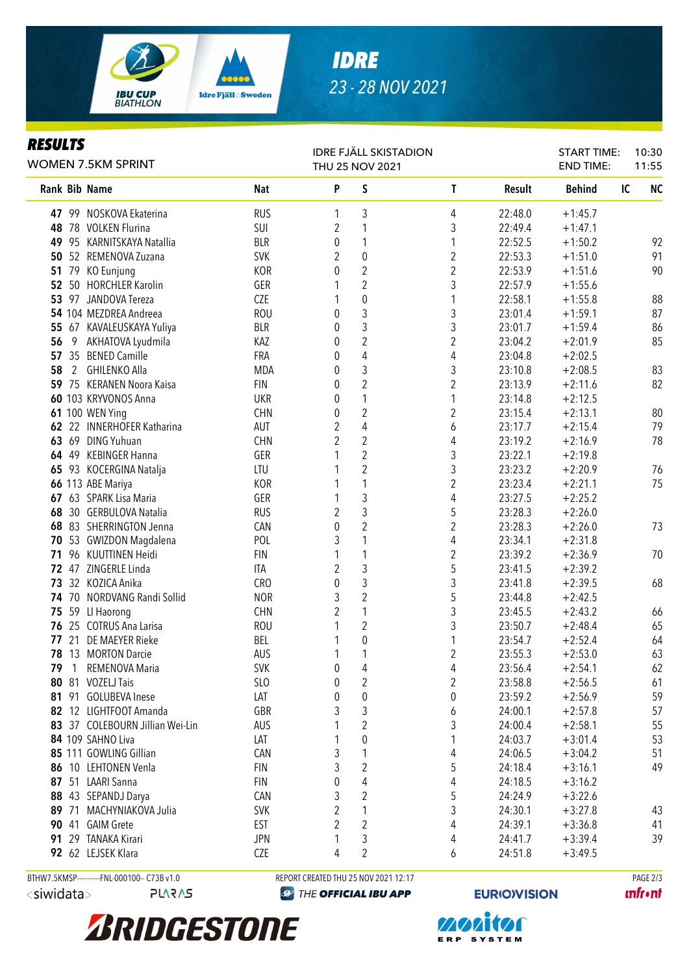

# *IDRE 23 - 28 NOV 2021*

#### *RESULTS*

| rljvlij<br><b>WOMEN 7.5KM SPRINT</b>         |            | <b>IDRE FJÄLL SKISTADION</b><br>THU 25 NOV 2021 |                                      |                         |                     | <b>START TIME:</b><br><b>END TIME:</b> | 10:30<br>11:55  |
|----------------------------------------------|------------|-------------------------------------------------|--------------------------------------|-------------------------|---------------------|----------------------------------------|-----------------|
| <b>Rank Bib Name</b>                         | <b>Nat</b> | P                                               | S                                    | T                       | Result              | <b>Behind</b>                          | <b>NC</b><br>IC |
| 47 99 NOSKOVA Ekaterina                      | <b>RUS</b> | 1                                               | 3                                    | 4                       | 22:48.0             | $+1:45.7$                              |                 |
| 48 78 VOLKEN Flurina                         | SUI        | 2                                               | 1                                    | 3                       | 22:49.4             | $+1:47.1$                              |                 |
| 49 95 KARNITSKAYA Natallia                   | <b>BLR</b> | 0                                               | 1                                    | 1                       | 22:52.5             | $+1:50.2$                              | 92              |
| 50 52 REMENOVA Zuzana                        | <b>SVK</b> | 2                                               | $\pmb{0}$                            | $\overline{\mathbf{c}}$ | 22:53.3             | $+1:51.0$                              | 91              |
| 51 79 KO Eunjung                             | <b>KOR</b> | 0                                               | $\overline{2}$                       | $\overline{c}$          | 22:53.9             | $+1:51.6$                              | 90              |
| 52 50 HORCHLER Karolin                       | GER        |                                                 | $\overline{2}$                       | 3                       | 22:57.9             | $+1:55.6$                              |                 |
| 53 97 JANDOVA Tereza                         | CZE        |                                                 | $\pmb{0}$                            | 1                       | 22:58.1             | $+1:55.8$                              | 88              |
| 54 104 MEZDREA Andreea                       | <b>ROU</b> | 0                                               | $\mathfrak{Z}$                       | 3                       | 23:01.4             | $+1:59.1$                              | 87              |
| 55 67 KAVALEUSKAYA Yuliya                    | <b>BLR</b> | 0                                               | $\mathfrak{Z}$                       | 3                       | 23:01.7             | $+1:59.4$                              | 86              |
| AKHATOVA Lyudmila<br>56<br>- 9               | KAZ        | 0                                               | $\overline{2}$                       | $\overline{2}$          | 23:04.2             | $+2:01.9$                              | 85              |
| 57 35 BENED Camille                          | FRA        | 0                                               | $\overline{4}$                       | 4                       | 23:04.8             | $+2:02.5$                              |                 |
| 58<br>2<br>GHILENKO Alla                     | <b>MDA</b> | 0                                               | 3                                    | 3                       | 23:10.8             | $+2:08.5$                              | 83              |
| 59 75 KERANEN Noora Kaisa                    | <b>FIN</b> | 0                                               | $\sqrt{2}$                           | $\overline{2}$          | 23:13.9             | $+2:11.6$                              | 82              |
| 60 103 KRYVONOS Anna                         | <b>UKR</b> | 0                                               | 1                                    | 1                       | 23:14.8             | $+2:12.5$                              |                 |
| 61 100 WEN Ying                              | <b>CHN</b> | 0                                               | $\overline{2}$                       | $\overline{2}$          | 23:15.4             | $+2:13.1$                              | 80              |
| 62 22 INNERHOFER Katharina                   | AUT        | $\overline{2}$                                  | 4                                    | 6                       | 23:17.7             | $+2:15.4$                              | 79              |
| 63 69 DING Yuhuan                            | <b>CHN</b> | 2                                               | $\overline{2}$                       | 4                       | 23:19.2             | $+2:16.9$                              | 78              |
| 64 49 KEBINGER Hanna                         | GER        |                                                 | $\overline{2}$                       | 3                       | 23:22.1             | $+2:19.8$                              |                 |
| 65 93 KOCERGINA Natalja                      | LTU        |                                                 | $\overline{2}$                       | 3                       | 23:23.2             | $+2:20.9$                              | 76              |
| 66 113 ABE Mariya                            | <b>KOR</b> |                                                 | 1                                    | $\overline{2}$          | 23:23.4             | $+2:21.1$                              | 75              |
| 67 63 SPARK Lisa Maria                       | GER        | 1                                               | 3                                    | 4                       | 23:27.5             | $+2:25.2$                              |                 |
| 68 30 GERBULOVA Natalia                      | <b>RUS</b> | 2                                               | 3                                    | 5                       | 23:28.3             | $+2:26.0$                              |                 |
| 68 83 SHERRINGTON Jenna                      | CAN        | 0                                               | $\overline{2}$                       | $\overline{c}$          | 23:28.3             | $+2:26.0$                              | 73              |
| 53 GWIZDON Magdalena<br>70                   | POL        | 3                                               | 1                                    | 4                       | 23:34.1             | $+2:31.8$                              |                 |
| 71 96 KUUTTINEN Heidi                        | <b>FIN</b> | 1                                               | 1                                    | $\boldsymbol{2}$        | 23:39.2             | $+2:36.9$                              | 70              |
| 72 47 ZINGERLE Linda                         | <b>ITA</b> | 2                                               | $\sqrt{3}$                           | 5                       | 23:41.5             | $+2:39.2$                              |                 |
| 73<br>32 KOZICA Anika                        | <b>CRO</b> | $\pmb{0}$                                       | 3                                    | 3                       | 23:41.8             | $+2:39.5$                              | 68              |
| 74 70 NORDVANG Randi Sollid                  | <b>NOR</b> | 3                                               | $\overline{2}$                       | 5                       | 23:44.8             | $+2:42.5$                              |                 |
| 75 59 Ll Haorong                             | <b>CHN</b> | $\overline{2}$                                  | $\mathbf{1}$                         | 3                       | 23:45.5             | $+2:43.2$                              | 66              |
| 76 25 COTRUS Ana Larisa                      | <b>ROU</b> | 1                                               | $\overline{2}$                       | 3                       | 23:50.7             | $+2:48.4$                              | 65              |
| 21 DE MAEYER Rieke<br>77                     | BEL        |                                                 | $\pmb{0}$                            | 1                       | 23:54.7             | $+2:52.4$                              | 64              |
| 78 13 MORTON Darcie                          | AUS        | 1                                               | 1                                    | $\overline{2}$          | 23:55.3             | $+2:53.0$                              | 63              |
| 79<br>$\overline{1}$<br>REMENOVA Maria       | <b>SVK</b> | 0                                               | 4                                    | 4                       | 23:56.4             | $+2:54.1$                              | 62              |
| 80 81 VOZELJ Tais                            | SLO        | 0                                               | $\sqrt{2}$                           | $\overline{2}$          | 23:58.8             | $+2:56.5$                              | 61              |
| 81 91 GOLUBEVA Inese                         | LAT        | 0                                               | 0                                    | 0                       | 23:59.2             | $+2:56.9$                              | 59              |
| 82 12 LIGHTFOOT Amanda                       | GBR        | 3                                               | 3                                    | 6                       | 24:00.1             | $+2:57.8$                              | 57              |
| 83 37 COLEBOURN Jillian Wei-Lin              | AUS        |                                                 | $\overline{2}$                       | 3                       | 24:00.4             | $+2:58.1$                              | 55              |
| 84 109 SAHNO Liva                            | LAT        |                                                 | $\boldsymbol{0}$                     | 1                       | 24:03.7             | $+3:01.4$                              | 53              |
| 85 111 GOWLING Gillian                       | CAN        | 3                                               | 1                                    | 4                       | 24:06.5             | $+3:04.2$                              | 51              |
| 86 10 LEHTONEN Venla                         | <b>FIN</b> | 3                                               | $\overline{\mathbf{c}}$              | 5                       | 24:18.4             | $+3:16.1$                              | 49              |
| 87 51 LAARI Sanna                            | <b>FIN</b> | 0                                               | 4                                    | 4                       | 24:18.5             | $+3:16.2$                              |                 |
| 88 43 SEPANDJ Darya                          | CAN        | 3                                               | $\overline{2}$                       | 5                       | 24:24.9             | $+3:22.6$                              |                 |
| 89 71 MACHYNIAKOVA Julia                     | <b>SVK</b> | $\overline{2}$                                  | 1                                    | 3                       | 24:30.1             | $+3:27.8$                              | 43              |
| 90 41 GAIM Grete                             | <b>EST</b> | 2                                               | $\overline{2}$                       | 4                       | 24:39.1             | $+3:36.8$                              | 41              |
| 29 TANAKA Kirari<br>91                       | <b>JPN</b> | 1                                               | 3                                    | 4                       | 24:41.7             | $+3:39.4$                              | 39              |
| 92 62 LEJSEK Klara                           | CZE        | 4                                               | $\overline{2}$                       | 6                       | 24:51.8             | $+3:49.5$                              |                 |
| BTHW7.5KMSP-----------FNL-000100-- C73B v1.0 |            |                                                 | REPORT CREATED THU 25 NOV 2021 12:17 |                         |                     |                                        | PAGE 2/3        |
| <siwidata><br/><b>PLARAS</b></siwidata>      | $\bigcirc$ |                                                 | THE OFFICIAL IBU APP                 |                         | <b>EURIO)VISION</b> |                                        | <b>unfront</b>  |